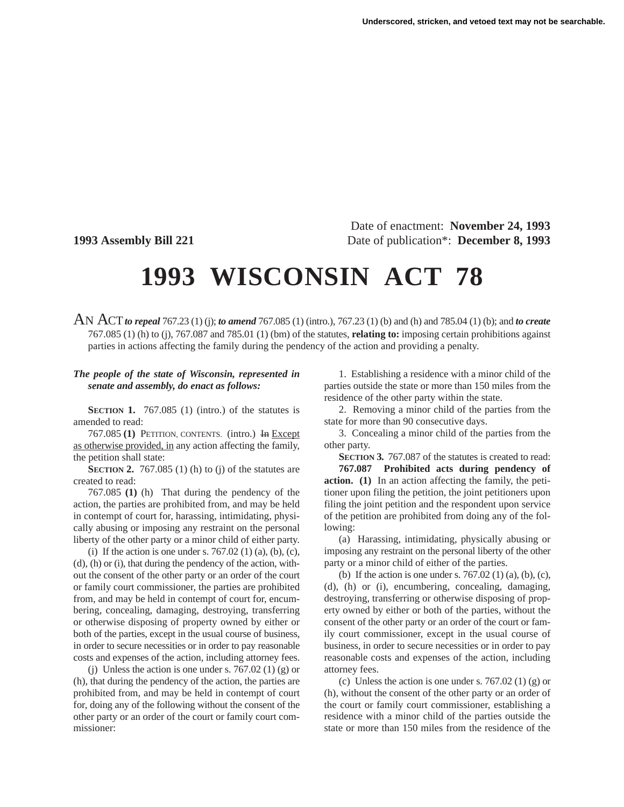Date of enactment: **November 24, 1993 1993 Assembly Bill 221** Date of publication\*: **December 8, 1993**

## **1993 WISCONSIN ACT 78**

AN ACT*to repeal* 767.23 (1) (j); *to amend* 767.085 (1) (intro.), 767.23 (1) (b) and (h) and 785.04 (1) (b); and *to create* 767.085 (1) (h) to (j), 767.087 and 785.01 (1) (bm) of the statutes, **relating to:** imposing certain prohibitions against parties in actions affecting the family during the pendency of the action and providing a penalty.

## *The people of the state of Wisconsin, represented in senate and assembly, do enact as follows:*

**SECTION 1.** 767.085 (1) (intro.) of the statutes is amended to read:

767.085 **(1)** PETITION, CONTENTS. (intro.) In Except as otherwise provided, in any action affecting the family, the petition shall state:

**SECTION 2.** 767.085 (1) (h) to (j) of the statutes are created to read:

767.085 **(1)** (h) That during the pendency of the action, the parties are prohibited from, and may be held in contempt of court for, harassing, intimidating, physically abusing or imposing any restraint on the personal liberty of the other party or a minor child of either party.

(i) If the action is one under s.  $767.02$  (1) (a), (b), (c), (d), (h) or (i), that during the pendency of the action, without the consent of the other party or an order of the court or family court commissioner, the parties are prohibited from, and may be held in contempt of court for, encumbering, concealing, damaging, destroying, transferring or otherwise disposing of property owned by either or both of the parties, except in the usual course of business, in order to secure necessities or in order to pay reasonable costs and expenses of the action, including attorney fees.

(i) Unless the action is one under s. 767.02 (1) (g) or (h), that during the pendency of the action, the parties are prohibited from, and may be held in contempt of court for, doing any of the following without the consent of the other party or an order of the court or family court commissioner:

1. Establishing a residence with a minor child of the parties outside the state or more than 150 miles from the residence of the other party within the state.

2. Removing a minor child of the parties from the state for more than 90 consecutive days.

3. Concealing a minor child of the parties from the other party.

**SECTION 3.** 767.087 of the statutes is created to read: **767.087 Prohibited acts during pendency of action. (1)** In an action affecting the family, the petitioner upon filing the petition, the joint petitioners upon filing the joint petition and the respondent upon service of the petition are prohibited from doing any of the following:

(a) Harassing, intimidating, physically abusing or imposing any restraint on the personal liberty of the other party or a minor child of either of the parties.

(b) If the action is one under s.  $767.02$  (1) (a), (b), (c), (d), (h) or (i), encumbering, concealing, damaging, destroying, transferring or otherwise disposing of property owned by either or both of the parties, without the consent of the other party or an order of the court or family court commissioner, except in the usual course of business, in order to secure necessities or in order to pay reasonable costs and expenses of the action, including attorney fees.

(c) Unless the action is one under s. 767.02 (1) (g) or (h), without the consent of the other party or an order of the court or family court commissioner, establishing a residence with a minor child of the parties outside the state or more than 150 miles from the residence of the